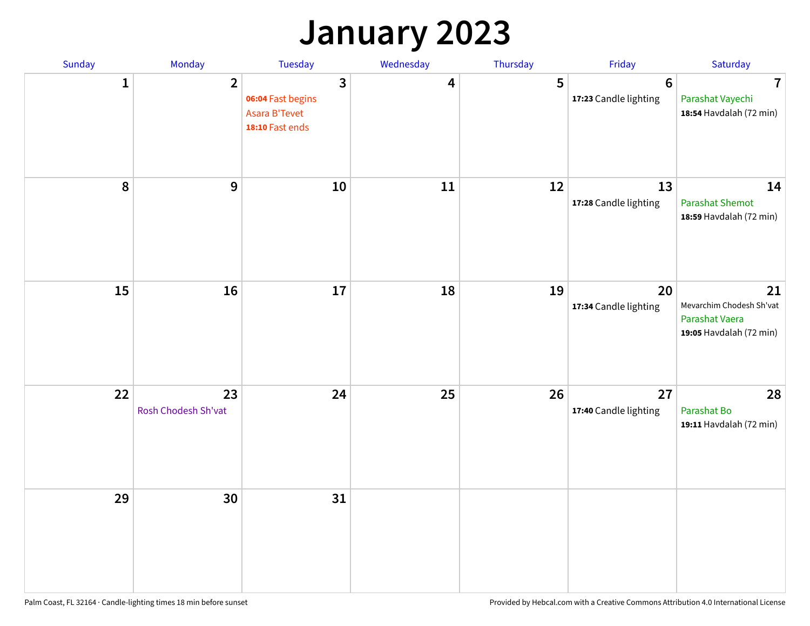## **January 2023**

| Sunday | Monday                    | Tuesday                                                    | Wednesday | Thursday | Friday                                   | Saturday                                                                    |
|--------|---------------------------|------------------------------------------------------------|-----------|----------|------------------------------------------|-----------------------------------------------------------------------------|
| 1      | $\overline{2}$            | 3<br>06:04 Fast begins<br>Asara B'Tevet<br>18:10 Fast ends | 4         | 5        | $6\phantom{1}6$<br>17:23 Candle lighting | $\overline{7}$<br>Parashat Vayechi<br>18:54 Havdalah (72 min)               |
| 8      | 9                         | 10                                                         | 11        | 12       | 13<br>17:28 Candle lighting              | 14<br><b>Parashat Shemot</b><br>18:59 Havdalah (72 min)                     |
| 15     | 16                        | 17                                                         | 18        | 19       | 20<br>17:34 Candle lighting              | 21<br>Mevarchim Chodesh Sh'vat<br>Parashat Vaera<br>19:05 Havdalah (72 min) |
| 22     | 23<br>Rosh Chodesh Sh'vat | 24                                                         | 25        | 26       | 27<br>17:40 Candle lighting              | 28<br>Parashat Bo<br>19:11 Havdalah (72 min)                                |
| 29     | 30                        | 31                                                         |           |          |                                          |                                                                             |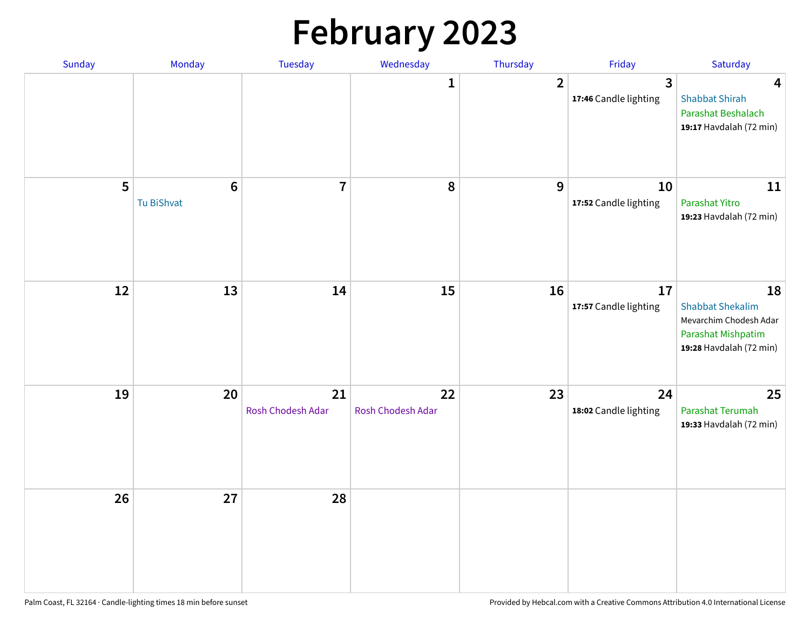# **February 2023**

| Sunday | Monday                        | <b>Tuesday</b>          | Wednesday               | Thursday       | Friday                                           | Saturday                                                                                                 |
|--------|-------------------------------|-------------------------|-------------------------|----------------|--------------------------------------------------|----------------------------------------------------------------------------------------------------------|
|        |                               |                         | 1                       | $\overline{2}$ | $\overline{\mathbf{3}}$<br>17:46 Candle lighting | $\overline{\mathbf{4}}$<br><b>Shabbat Shirah</b><br>Parashat Beshalach<br>19:17 Havdalah (72 min)        |
| 5      | $6\phantom{1}6$<br>Tu BiShvat | $\overline{7}$          | 8                       | 9              | 10<br>17:52 Candle lighting                      | $11\,$<br>Parashat Yitro<br>19:23 Havdalah (72 min)                                                      |
| 12     | 13                            | 14                      | 15                      | 16             | 17<br>17:57 Candle lighting                      | 18<br><b>Shabbat Shekalim</b><br>Mevarchim Chodesh Adar<br>Parashat Mishpatim<br>19:28 Havdalah (72 min) |
| 19     | 20                            | 21<br>Rosh Chodesh Adar | 22<br>Rosh Chodesh Adar | 23             | 24<br>18:02 Candle lighting                      | 25<br>Parashat Terumah<br>19:33 Havdalah (72 min)                                                        |
| 26     | 27                            | 28                      |                         |                |                                                  |                                                                                                          |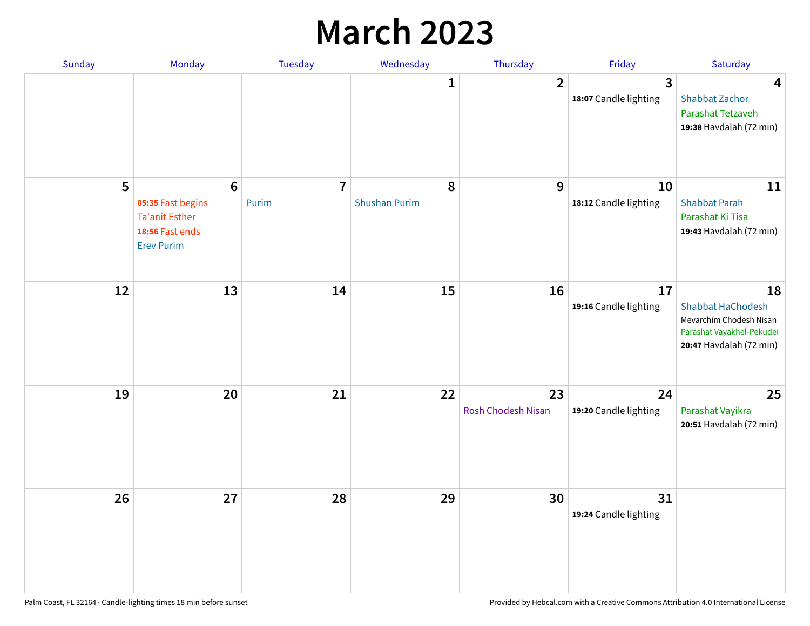## **March 2023**

| Sunday | Monday                                                                                                | Tuesday                 | Wednesday                 | Thursday                 | Friday                      | Saturday                                                                                                          |
|--------|-------------------------------------------------------------------------------------------------------|-------------------------|---------------------------|--------------------------|-----------------------------|-------------------------------------------------------------------------------------------------------------------|
|        |                                                                                                       |                         | 1                         | $\overline{2}$           | 3<br>18:07 Candle lighting  | $\overline{\mathbf{4}}$<br><b>Shabbat Zachor</b><br>Parashat Tetzaveh<br>19:38 Havdalah (72 min)                  |
| 5      | $6\phantom{1}6$<br>05:35 Fast begins<br><b>Ta'anit Esther</b><br>18:56 Fast ends<br><b>Erev Purim</b> | $\overline{7}$<br>Purim | 8<br><b>Shushan Purim</b> | 9                        | 10<br>18:12 Candle lighting | 11<br><b>Shabbat Parah</b><br>Parashat Ki Tisa<br>19:43 Havdalah (72 min)                                         |
| 12     | 13                                                                                                    | 14                      | 15                        | 16                       | 17<br>19:16 Candle lighting | 18<br><b>Shabbat HaChodesh</b><br>Mevarchim Chodesh Nisan<br>Parashat Vayakhel-Pekudei<br>20:47 Havdalah (72 min) |
| 19     | 20                                                                                                    | 21                      | 22                        | 23<br>Rosh Chodesh Nisan | 24<br>19:20 Candle lighting | 25<br>Parashat Vayikra<br>20:51 Havdalah (72 min)                                                                 |
| 26     | 27                                                                                                    | 28                      | 29                        | 30                       | 31<br>19:24 Candle lighting |                                                                                                                   |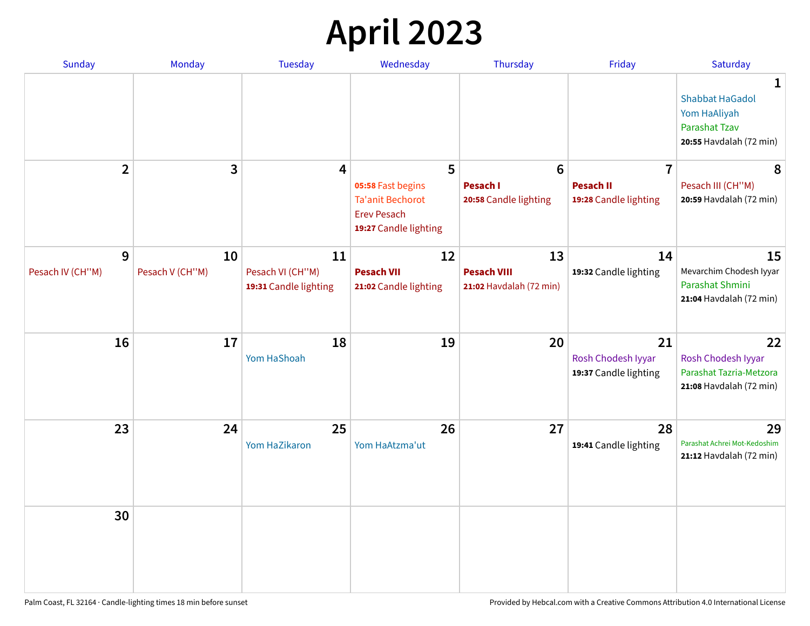# **April 2023**

| Sunday           | <b>Monday</b>   | <b>Tuesday</b>                            | Wednesday                                                                                   | Thursday                                      | Friday                                            | Saturday                                                                                       |
|------------------|-----------------|-------------------------------------------|---------------------------------------------------------------------------------------------|-----------------------------------------------|---------------------------------------------------|------------------------------------------------------------------------------------------------|
|                  |                 |                                           |                                                                                             |                                               |                                                   | 1<br><b>Shabbat HaGadol</b><br>Yom HaAliyah<br><b>Parashat Tzav</b><br>20:55 Havdalah (72 min) |
| $\overline{2}$   | 3               | $\overline{\mathbf{4}}$                   | 5                                                                                           | $6\phantom{1}6$                               | $\overline{7}$                                    | 8                                                                                              |
|                  |                 |                                           | 05:58 Fast begins<br><b>Ta'anit Bechorot</b><br><b>Erev Pesach</b><br>19:27 Candle lighting | <b>Pesach I</b><br>20:58 Candle lighting      | <b>Pesach II</b><br>19:28 Candle lighting         | Pesach III (CH"M)<br>20:59 Havdalah (72 min)                                                   |
| 9                | 10              | 11                                        | 12                                                                                          | 13                                            | 14                                                | 15                                                                                             |
| Pesach IV (CH"M) | Pesach V (CH"M) | Pesach VI (CH"M)<br>19:31 Candle lighting | <b>Pesach VII</b><br>21:02 Candle lighting                                                  | <b>Pesach VIII</b><br>21:02 Havdalah (72 min) | 19:32 Candle lighting                             | Mevarchim Chodesh Iyyar<br>Parashat Shmini<br>21:04 Havdalah (72 min)                          |
| 16               | 17              | 18<br>Yom HaShoah                         | 19                                                                                          | 20                                            | 21<br>Rosh Chodesh Iyyar<br>19:37 Candle lighting | 22<br>Rosh Chodesh Iyyar<br>Parashat Tazria-Metzora<br>21:08 Havdalah (72 min)                 |
| 23               | 24              | 25<br>Yom HaZikaron                       | 26<br>Yom HaAtzma'ut                                                                        | 27                                            | 28<br>19:41 Candle lighting                       | 29<br>Parashat Achrei Mot-Kedoshim<br>21:12 Havdalah (72 min)                                  |
| 30               |                 |                                           |                                                                                             |                                               |                                                   |                                                                                                |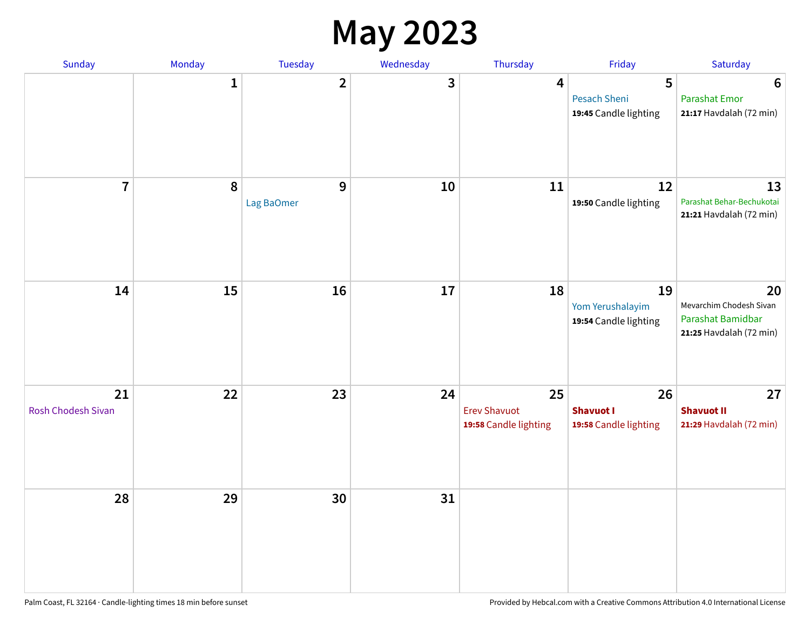#### **May 2023**

| Sunday                   | Monday      | Tuesday         | Wednesday | Thursday                                           | Friday                                          | Saturday                                                                      |
|--------------------------|-------------|-----------------|-----------|----------------------------------------------------|-------------------------------------------------|-------------------------------------------------------------------------------|
|                          | $\mathbf 1$ | $\mathbf{2}$    | 3         | $\overline{\mathbf{4}}$                            | 5<br>Pesach Sheni<br>19:45 Candle lighting      | $6\phantom{1}6$<br><b>Parashat Emor</b><br>21:17 Havdalah (72 min)            |
| $\overline{7}$           | 8           | 9<br>Lag BaOmer | 10        | 11                                                 | 12<br>19:50 Candle lighting                     | 13<br>Parashat Behar-Bechukotai<br>21:21 Havdalah (72 min)                    |
| 14                       | 15          | 16              | 17        | 18                                                 | 19<br>Yom Yerushalayim<br>19:54 Candle lighting | 20<br>Mevarchim Chodesh Sivan<br>Parashat Bamidbar<br>21:25 Havdalah (72 min) |
| 21<br>Rosh Chodesh Sivan | 22          | 23              | 24        | 25<br><b>Erev Shavuot</b><br>19:58 Candle lighting | 26<br><b>Shavuot I</b><br>19:58 Candle lighting | 27<br><b>Shavuot II</b><br>21:29 Havdalah (72 min)                            |
| 28                       | 29          | 30              | 31        |                                                    |                                                 |                                                                               |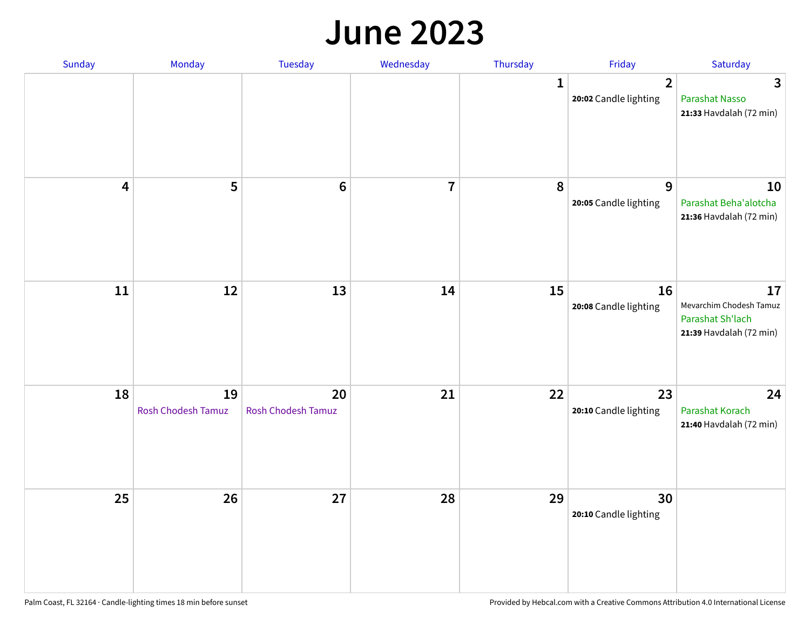#### **June 2023**

| Sunday | Monday                   | Tuesday                         | Wednesday               | Thursday | Friday                                  | Saturday                                                                     |
|--------|--------------------------|---------------------------------|-------------------------|----------|-----------------------------------------|------------------------------------------------------------------------------|
|        |                          |                                 |                         | 1        | $\overline{2}$<br>20:02 Candle lighting | 3<br><b>Parashat Nasso</b><br>21:33 Havdalah (72 min)                        |
| 4      | 5                        | $6\phantom{1}6$                 | $\overline{\mathbf{7}}$ | 8        | 9<br>20:05 Candle lighting              | 10<br>Parashat Beha'alotcha<br>21:36 Havdalah (72 min)                       |
| $11\,$ | 12                       | 13                              | 14                      | 15       | 16<br>20:08 Candle lighting             | 17<br>Mevarchim Chodesh Tamuz<br>Parashat Sh'lach<br>21:39 Havdalah (72 min) |
| 18     | 19<br>Rosh Chodesh Tamuz | 20<br><b>Rosh Chodesh Tamuz</b> | 21                      | 22       | 23<br>20:10 Candle lighting             | 24<br><b>Parashat Korach</b><br>21:40 Havdalah (72 min)                      |
| 25     | 26                       | 27                              | 28                      | 29       | 30<br>20:10 Candle lighting             |                                                                              |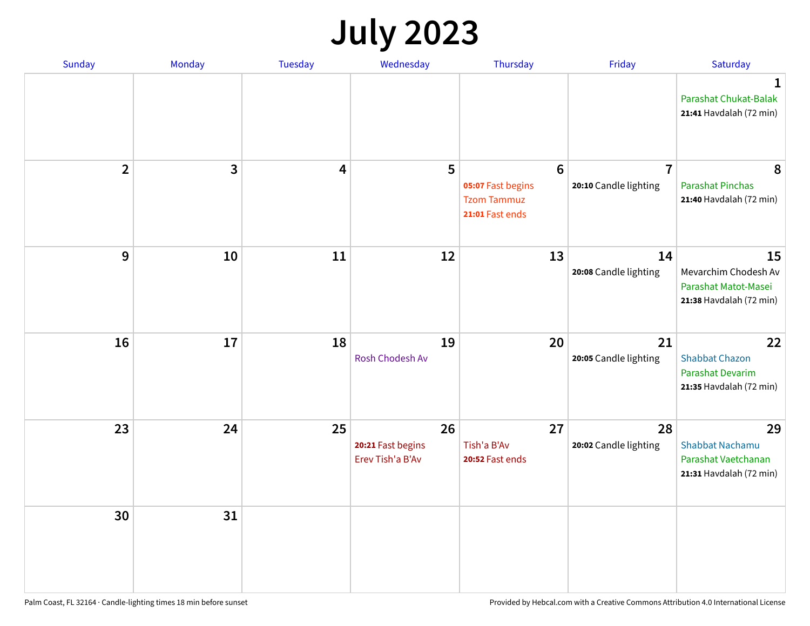# **July 2023**

| Sunday         | Monday | <b>Tuesday</b> | Wednesday                                   | Thursday                                                                      | Friday                                  | Saturday                                                                          |
|----------------|--------|----------------|---------------------------------------------|-------------------------------------------------------------------------------|-----------------------------------------|-----------------------------------------------------------------------------------|
|                |        |                |                                             |                                                                               |                                         | 1<br>Parashat Chukat-Balak<br>21:41 Havdalah (72 min)                             |
| $\overline{2}$ | 3      | 4              | 5                                           | $6\phantom{1}6$<br>05:07 Fast begins<br><b>Tzom Tammuz</b><br>21:01 Fast ends | $\overline{7}$<br>20:10 Candle lighting | 8<br><b>Parashat Pinchas</b><br>21:40 Havdalah (72 min)                           |
| 9              | 10     | 11             | 12                                          | 13                                                                            | 14<br>20:08 Candle lighting             | 15<br>Mevarchim Chodesh Av<br>Parashat Matot-Masei<br>21:38 Havdalah (72 min)     |
| 16             | 17     | 18             | 19<br><b>Rosh Chodesh Av</b>                | 20                                                                            | 21<br>20:05 Candle lighting             | 22<br><b>Shabbat Chazon</b><br><b>Parashat Devarim</b><br>21:35 Havdalah (72 min) |
| 23             | 24     | 25             | 26<br>20:21 Fast begins<br>Erev Tish'a B'Av | 27<br>Tish'a B'Av<br>20:52 Fast ends                                          | 28<br>20:02 Candle lighting             | 29<br><b>Shabbat Nachamu</b><br>Parashat Vaetchanan<br>21:31 Havdalah (72 min)    |
| 30             | 31     |                |                                             |                                                                               |                                         |                                                                                   |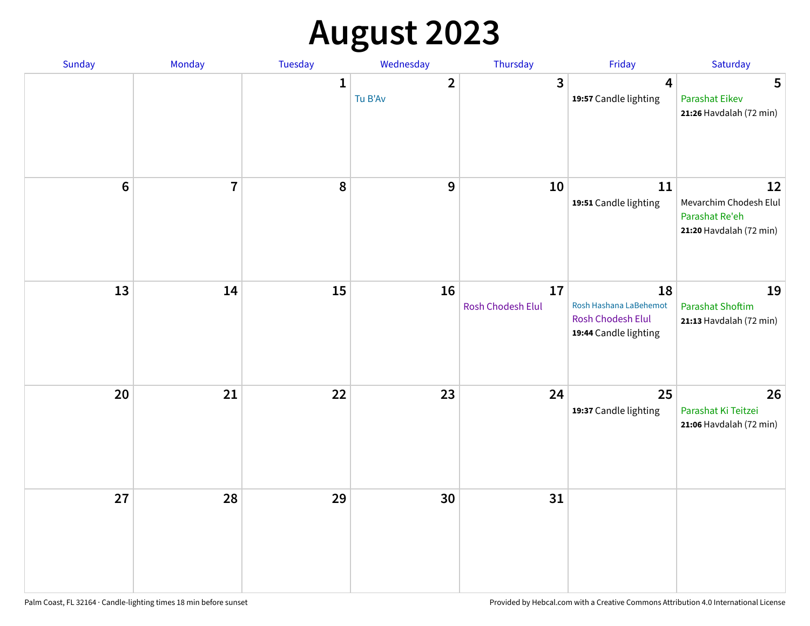# **August 2023**

| Sunday         | Monday         | Tuesday      | Wednesday                          | Thursday                | Friday                                                                            | Saturday                                                                  |
|----------------|----------------|--------------|------------------------------------|-------------------------|-----------------------------------------------------------------------------------|---------------------------------------------------------------------------|
|                |                | $\mathbf{1}$ | $\overline{\mathbf{2}}$<br>Tu B'Av | 3                       | 4<br>19:57 Candle lighting                                                        | 5<br><b>Parashat Eikev</b><br>21:26 Havdalah (72 min)                     |
| $6\phantom{1}$ | $\overline{7}$ | 8            | 9                                  | 10                      | 11<br>19:51 Candle lighting                                                       | 12<br>Mevarchim Chodesh Elul<br>Parashat Re'eh<br>21:20 Havdalah (72 min) |
| 13             | 14             | 15           | 16                                 | 17<br>Rosh Chodesh Elul | 18<br>Rosh Hashana LaBehemot<br><b>Rosh Chodesh Elul</b><br>19:44 Candle lighting | 19<br><b>Parashat Shoftim</b><br>21:13 Havdalah (72 min)                  |
| 20             | 21             | 22           | 23                                 | 24                      | 25<br>19:37 Candle lighting                                                       | 26<br>Parashat Ki Teitzei<br>21:06 Havdalah (72 min)                      |
| 27             | 28             | 29           | 30                                 | 31                      |                                                                                   |                                                                           |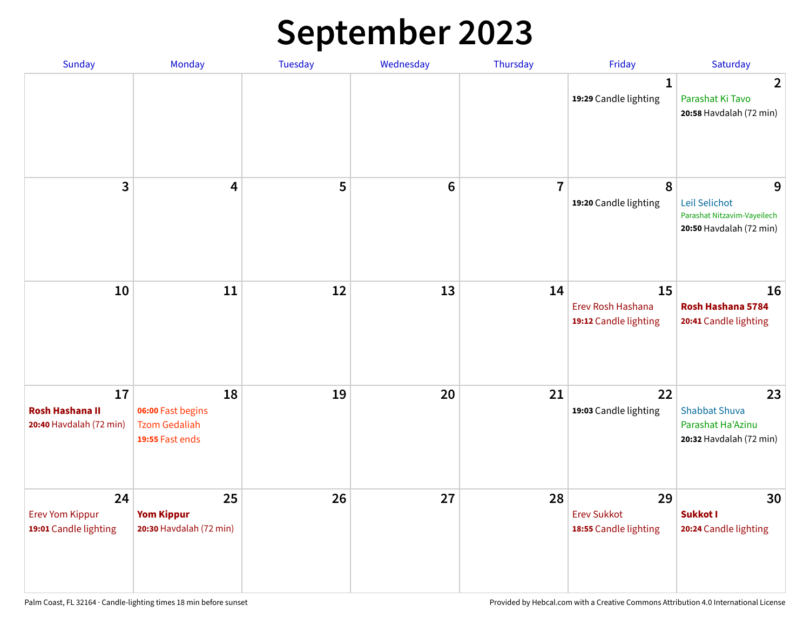# **September 2023**

| Sunday                                                  | Monday                                                             | <b>Tuesday</b> | Wednesday       | Thursday       | Friday                                            | Saturday                                                                     |
|---------------------------------------------------------|--------------------------------------------------------------------|----------------|-----------------|----------------|---------------------------------------------------|------------------------------------------------------------------------------|
|                                                         |                                                                    |                |                 |                | 1<br>19:29 Candle lighting                        | $\overline{2}$<br>Parashat Ki Tavo<br>20:58 Havdalah (72 min)                |
| 3                                                       | $\overline{\mathbf{4}}$                                            | 5              | $6\phantom{1}6$ | $\overline{7}$ | 8<br>19:20 Candle lighting                        | 9<br>Leil Selichot<br>Parashat Nitzavim-Vayeilech<br>20:50 Havdalah (72 min) |
| 10                                                      | 11                                                                 | 12             | 13              | 14             | 15<br>Erev Rosh Hashana<br>19:12 Candle lighting  | 16<br>Rosh Hashana 5784<br>20:41 Candle lighting                             |
| 17<br><b>Rosh Hashana II</b><br>20:40 Havdalah (72 min) | 18<br>06:00 Fast begins<br><b>Tzom Gedaliah</b><br>19:55 Fast ends | 19             | 20              | 21             | 22<br>19:03 Candle lighting                       | 23<br><b>Shabbat Shuva</b><br>Parashat Ha'Azinu<br>20:32 Havdalah (72 min)   |
| 24<br><b>Erev Yom Kippur</b><br>19:01 Candle lighting   | 25<br><b>Yom Kippur</b><br>20:30 Havdalah (72 min)                 | 26             | 27              | 28             | 29<br><b>Erev Sukkot</b><br>18:55 Candle lighting | 30<br>Sukkot I<br>20:24 Candle lighting                                      |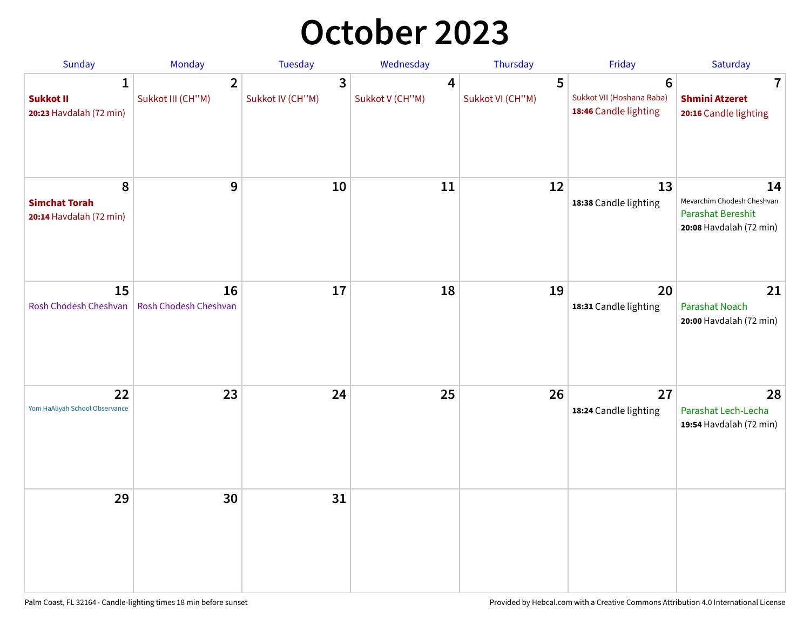## **October 2023**

| Sunday                                               | Monday                              | Tuesday               | Wednesday            | Thursday              | Friday                                                  | Saturday                                                                                |
|------------------------------------------------------|-------------------------------------|-----------------------|----------------------|-----------------------|---------------------------------------------------------|-----------------------------------------------------------------------------------------|
| 1<br><b>Sukkot II</b><br>20:23 Havdalah (72 min)     | $\overline{2}$<br>Sukkot III (CH"M) | 3<br>Sukkot IV (CH"M) | 4<br>Sukkot V (CH"M) | 5<br>Sukkot VI (CH"M) | 6<br>Sukkot VII (Hoshana Raba)<br>18:46 Candle lighting | 7<br><b>Shmini Atzeret</b><br>20:16 Candle lighting                                     |
| 8<br><b>Simchat Torah</b><br>20:14 Havdalah (72 min) | 9                                   | 10                    | 11                   | 12                    | 13<br>18:38 Candle lighting                             | 14<br>Mevarchim Chodesh Cheshvan<br><b>Parashat Bereshit</b><br>20:08 Havdalah (72 min) |
| 15<br>Rosh Chodesh Cheshvan                          | 16<br>Rosh Chodesh Cheshvan         | 17                    | 18                   | 19                    | 20<br>18:31 Candle lighting                             | 21<br><b>Parashat Noach</b><br>20:00 Havdalah (72 min)                                  |
| 22<br>Yom HaAliyah School Observance                 | 23                                  | 24                    | 25                   | 26                    | 27<br>18:24 Candle lighting                             | 28<br>Parashat Lech-Lecha<br>19:54 Havdalah (72 min)                                    |
| 29                                                   | 30                                  | 31                    |                      |                       |                                                         |                                                                                         |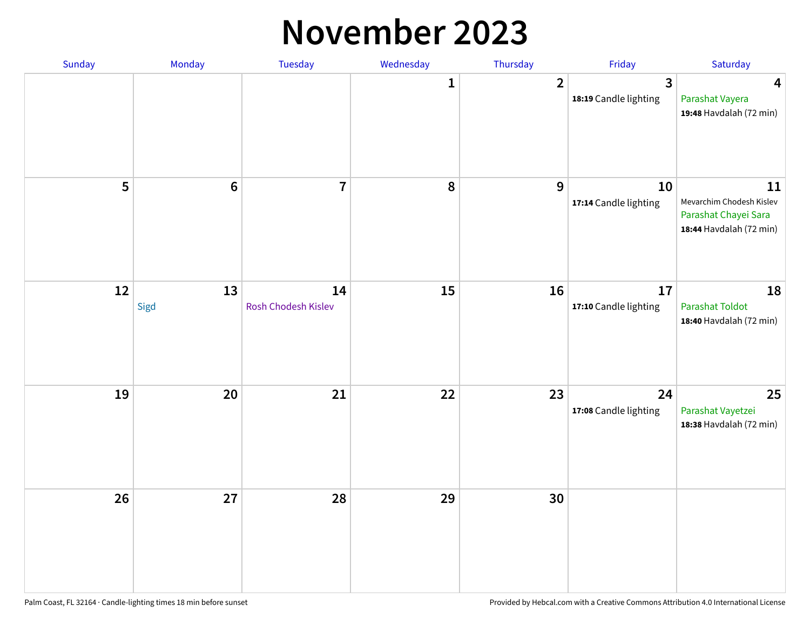#### **November 2023**

| Sunday | Monday     | Tuesday                   | Wednesday | Thursday                | Friday                      | Saturday                                                                          |
|--------|------------|---------------------------|-----------|-------------------------|-----------------------------|-----------------------------------------------------------------------------------|
|        |            |                           | 1         | $\overline{\mathbf{2}}$ | 3<br>18:19 Candle lighting  | $\overline{\mathbf{4}}$<br>Parashat Vayera<br>19:48 Havdalah (72 min)             |
| 5      | $\bf 6$    | $\overline{7}$            | ${\bf 8}$ | $\boldsymbol{9}$        | 10<br>17:14 Candle lighting | 11<br>Mevarchim Chodesh Kislev<br>Parashat Chayei Sara<br>18:44 Havdalah (72 min) |
| 12     | 13<br>Sigd | 14<br>Rosh Chodesh Kislev | 15        | 16                      | 17<br>17:10 Candle lighting | 18<br>Parashat Toldot<br>18:40 Havdalah (72 min)                                  |
| 19     | 20         | 21                        | 22        | 23                      | 24<br>17:08 Candle lighting | 25<br>Parashat Vayetzei<br>18:38 Havdalah (72 min)                                |
| 26     | 27         | 28                        | 29        | 30                      |                             |                                                                                   |